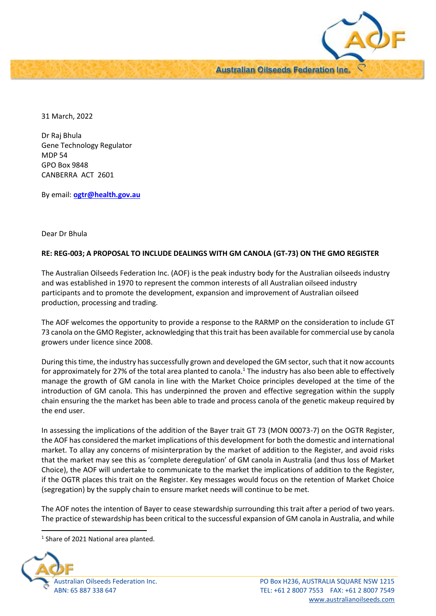

31 March, 2022

Dr Raj Bhula Gene Technology Regulator MDP 54 GPO Box 9848 CANBERRA ACT 2601

By email: **[ogtr@health.gov.au](mailto:ogtr@health.gov.au)**

## Dear Dr Bhula

## **RE: REG-003; A PROPOSAL TO INCLUDE DEALINGS WITH GM CANOLA (GT-73) ON THE GMO REGISTER**

The Australian Oilseeds Federation Inc. (AOF) is the peak industry body for the Australian oilseeds industry and was established in 1970 to represent the common interests of all Australian oilseed industry participants and to promote the development, expansion and improvement of Australian oilseed production, processing and trading.

The AOF welcomes the opportunity to provide a response to the RARMP on the consideration to include GT 73 canola on the GMO Register, acknowledging that this trait has been available for commercial use by canola growers under licence since 2008.

During this time, the industry has successfully grown and developed the GM sector, such that it now accounts for approximately for 27% of the total area planted to canola.<sup>1</sup> The industry has also been able to effectively manage the growth of GM canola in line with the Market Choice principles developed at the time of the introduction of GM canola. This has underpinned the proven and effective segregation within the supply chain ensuring the the market has been able to trade and process canola of the genetic makeup required by the end user.

In assessing the implications of the addition of the Bayer trait GT 73 (MON 00073-7) on the OGTR Register, the AOF has considered the market implications of this development for both the domestic and international market. To allay any concerns of misinterpration by the market of addition to the Register, and avoid risks that the market may see this as 'complete deregulation' of GM canola in Australia (and thus loss of Market Choice), the AOF will undertake to communicate to the market the implications of addition to the Register, if the OGTR places this trait on the Register. Key messages would focus on the retention of Market Choice (segregation) by the supply chain to ensure market needs will continue to be met.

The AOF notes the intention of Bayer to cease stewardship surrounding this trait after a period of two years. The practice of stewardship has been critical to the successful expansion of GM canola in Australia, and while

<sup>&</sup>lt;sup>1</sup> Share of 2021 National area planted.